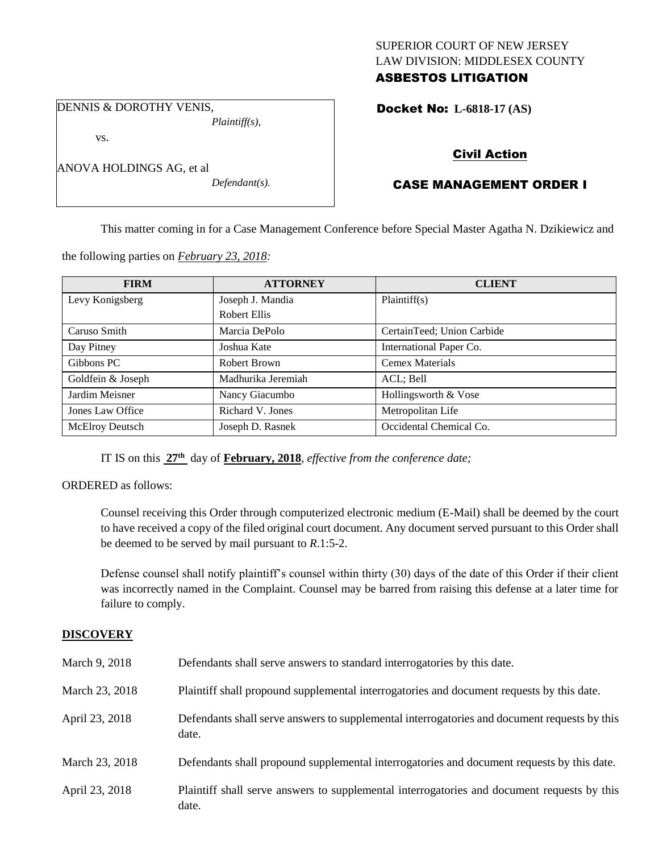## SUPERIOR COURT OF NEW JERSEY LAW DIVISION: MIDDLESEX COUNTY ASBESTOS LITIGATION

DENNIS & DOROTHY VENIS, *Plaintiff(s),*

vs.

| ANOVA HOLDINGS AG, et al |  |  |
|--------------------------|--|--|
|                          |  |  |

*Defendant(s).*

Docket No: **L-6818-17 (AS)** 

# Civil Action

# CASE MANAGEMENT ORDER I

This matter coming in for a Case Management Conference before Special Master Agatha N. Dzikiewicz and

the following parties on *February 23, 2018:*

| <b>FIRM</b>            | <b>ATTORNEY</b>    | <b>CLIENT</b>              |
|------------------------|--------------------|----------------------------|
| Levy Konigsberg        | Joseph J. Mandia   | Plaintiff(s)               |
|                        | Robert Ellis       |                            |
| Caruso Smith           | Marcia DePolo      | CertainTeed; Union Carbide |
| Day Pitney             | Joshua Kate        | International Paper Co.    |
| Gibbons PC             | Robert Brown       | <b>Cemex Materials</b>     |
| Goldfein & Joseph      | Madhurika Jeremiah | ACL; Bell                  |
| Jardim Meisner         | Nancy Giacumbo     | Hollingsworth & Vose       |
| Jones Law Office       | Richard V. Jones   | Metropolitan Life          |
| <b>McElroy Deutsch</b> | Joseph D. Rasnek   | Occidental Chemical Co.    |

IT IS on this **27th** day of **February, 2018**, *effective from the conference date;*

ORDERED as follows:

Counsel receiving this Order through computerized electronic medium (E-Mail) shall be deemed by the court to have received a copy of the filed original court document. Any document served pursuant to this Order shall be deemed to be served by mail pursuant to *R*.1:5-2.

Defense counsel shall notify plaintiff's counsel within thirty (30) days of the date of this Order if their client was incorrectly named in the Complaint. Counsel may be barred from raising this defense at a later time for failure to comply.

## **DISCOVERY**

| March 9, 2018  | Defendants shall serve answers to standard interrogatories by this date.                              |
|----------------|-------------------------------------------------------------------------------------------------------|
| March 23, 2018 | Plaintiff shall propound supplemental interrogatories and document requests by this date.             |
| April 23, 2018 | Defendants shall serve answers to supplemental interrogatories and document requests by this<br>date. |
| March 23, 2018 | Defendants shall propound supplemental interrogatories and document requests by this date.            |
| April 23, 2018 | Plaintiff shall serve answers to supplemental interrogatories and document requests by this<br>date.  |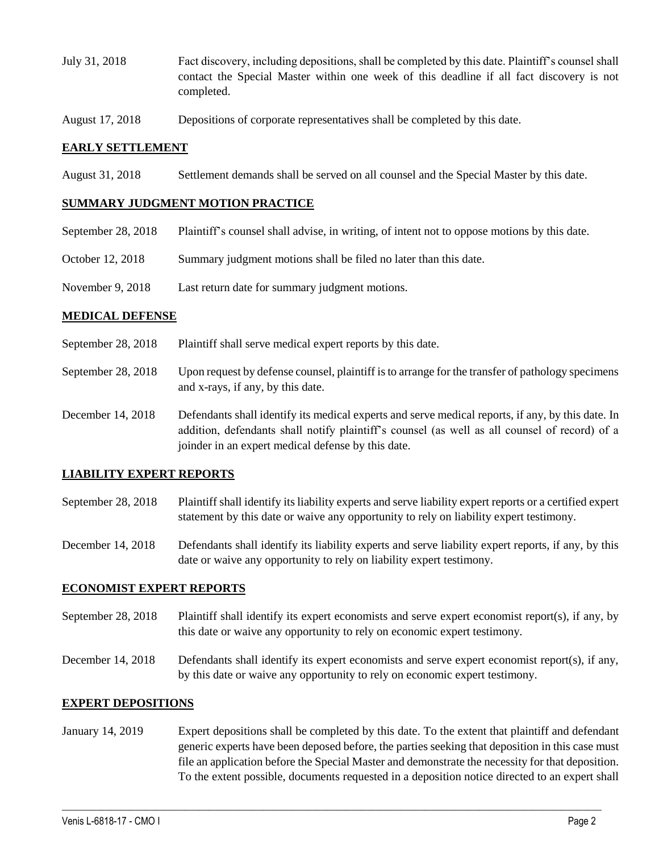- July 31, 2018 Fact discovery, including depositions, shall be completed by this date. Plaintiff's counsel shall contact the Special Master within one week of this deadline if all fact discovery is not completed.
- August 17, 2018 Depositions of corporate representatives shall be completed by this date.

#### **EARLY SETTLEMENT**

August 31, 2018 Settlement demands shall be served on all counsel and the Special Master by this date.

#### **SUMMARY JUDGMENT MOTION PRACTICE**

- September 28, 2018 Plaintiff's counsel shall advise, in writing, of intent not to oppose motions by this date.
- October 12, 2018 Summary judgment motions shall be filed no later than this date.
- November 9, 2018 Last return date for summary judgment motions.

### **MEDICAL DEFENSE**

- September 28, 2018 Plaintiff shall serve medical expert reports by this date.
- September 28, 2018 Upon request by defense counsel, plaintiff is to arrange for the transfer of pathology specimens and x-rays, if any, by this date.
- December 14, 2018 Defendants shall identify its medical experts and serve medical reports, if any, by this date. In addition, defendants shall notify plaintiff's counsel (as well as all counsel of record) of a joinder in an expert medical defense by this date.

## **LIABILITY EXPERT REPORTS**

- September 28, 2018 Plaintiff shall identify its liability experts and serve liability expert reports or a certified expert statement by this date or waive any opportunity to rely on liability expert testimony.
- December 14, 2018 Defendants shall identify its liability experts and serve liability expert reports, if any, by this date or waive any opportunity to rely on liability expert testimony.

#### **ECONOMIST EXPERT REPORTS**

- September 28, 2018 Plaintiff shall identify its expert economists and serve expert economist report(s), if any, by this date or waive any opportunity to rely on economic expert testimony.
- December 14, 2018 Defendants shall identify its expert economists and serve expert economist report(s), if any, by this date or waive any opportunity to rely on economic expert testimony.

#### **EXPERT DEPOSITIONS**

January 14, 2019 Expert depositions shall be completed by this date. To the extent that plaintiff and defendant generic experts have been deposed before, the parties seeking that deposition in this case must file an application before the Special Master and demonstrate the necessity for that deposition. To the extent possible, documents requested in a deposition notice directed to an expert shall

 $\_$  ,  $\_$  ,  $\_$  ,  $\_$  ,  $\_$  ,  $\_$  ,  $\_$  ,  $\_$  ,  $\_$  ,  $\_$  ,  $\_$  ,  $\_$  ,  $\_$  ,  $\_$  ,  $\_$  ,  $\_$  ,  $\_$  ,  $\_$  ,  $\_$  ,  $\_$  ,  $\_$  ,  $\_$  ,  $\_$  ,  $\_$  ,  $\_$  ,  $\_$  ,  $\_$  ,  $\_$  ,  $\_$  ,  $\_$  ,  $\_$  ,  $\_$  ,  $\_$  ,  $\_$  ,  $\_$  ,  $\_$  ,  $\_$  ,